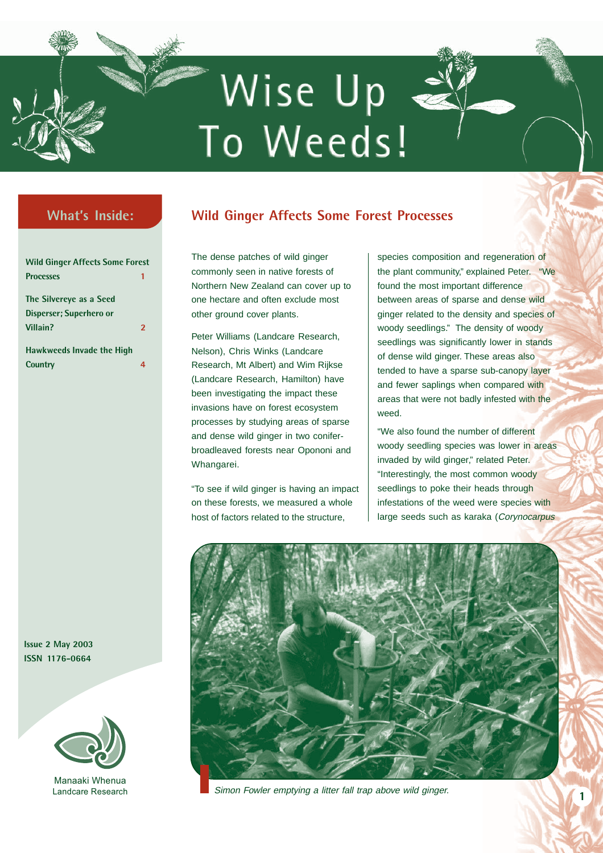# Wise Up < To Weeds!

### **What's Inside:**

| <b>Wild Ginger Affects Some Forest</b> |                         |
|----------------------------------------|-------------------------|
| <b>Processes</b>                       | 1                       |
| The Silvereye as a Seed                |                         |
| Disperser; Superhero or                |                         |
| Villain?                               | $\overline{\mathbf{z}}$ |
| <b>Hawkweeds Invade the High</b>       |                         |
| Country                                | Δ.                      |

**Issue 2 May 2003 ISSN 1176-0664**



Manaaki Whenua Landcare Research

## **Wild Ginger Affects Some Forest Processes**

The dense patches of wild ginger commonly seen in native forests of Northern New Zealand can cover up to one hectare and often exclude most other ground cover plants.

Peter Williams (Landcare Research, Nelson), Chris Winks (Landcare Research, Mt Albert) and Wim Rijkse (Landcare Research, Hamilton) have been investigating the impact these invasions have on forest ecosystem processes by studying areas of sparse and dense wild ginger in two coniferbroadleaved forests near Opononi and Whangarei.

"To see if wild ginger is having an impact on these forests, we measured a whole host of factors related to the structure,

species composition and regeneration of the plant community," explained Peter. "We found the most important difference between areas of sparse and dense wild ginger related to the density and species of woody seedlings." The density of woody seedlings was significantly lower in stands of dense wild ginger. These areas also tended to have a sparse sub-canopy layer and fewer saplings when compared with areas that were not badly infested with the weed.

"We also found the number of different woody seedling species was lower in areas invaded by wild ginger," related Peter. "Interestingly, the most common woody seedlings to poke their heads through infestations of the weed were species with large seeds such as karaka (Corynocarpus



Simon Fowler emptying a litter fall trap above wild ginger.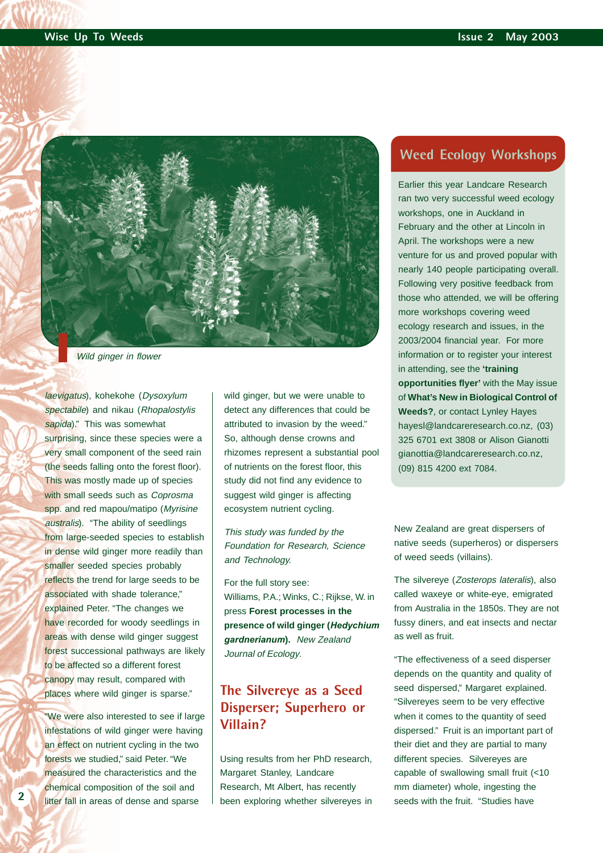

Wild ginger in flower

laevigatus), kohekohe (Dysoxylum spectabile) and nikau (Rhopalostylis sapida)." This was somewhat surprising, since these species were a very small component of the seed rain (the seeds falling onto the forest floor). This was mostly made up of species with small seeds such as *Coprosma* spp. and red mapou/matipo (Myrisine australis). "The ability of seedlings from large-seeded species to establish in dense wild ginger more readily than smaller seeded species probably reflects the trend for large seeds to be associated with shade tolerance," explained Peter. "The changes we have recorded for woody seedlings in areas with dense wild ginger suggest forest successional pathways are likely to be affected so a different forest canopy may result, compared with places where wild ginger is sparse."

"We were also interested to see if large infestations of wild ginger were having an effect on nutrient cycling in the two forests we studied," said Peter. "We measured the characteristics and the chemical composition of the soil and litter fall in areas of dense and sparse

wild ginger, but we were unable to detect any differences that could be attributed to invasion by the weed." So, although dense crowns and rhizomes represent a substantial pool of nutrients on the forest floor, this study did not find any evidence to suggest wild ginger is affecting ecosystem nutrient cycling.

This study was funded by the Foundation for Research, Science and Technology.

For the full story see: Williams, P.A.; Winks, C.; Rijkse, W. in press **Forest processes in the presence of wild ginger (***Hedychium gardnerianum***).** New Zealand Journal of Ecology.

## **The Silvereye as a Seed Disperser; Superhero or Villain?**

Using results from her PhD research, Margaret Stanley, Landcare Research, Mt Albert, has recently been exploring whether silvereyes in

#### **Weed Ecology Workshops**

Earlier this year Landcare Research ran two very successful weed ecology workshops, one in Auckland in February and the other at Lincoln in April. The workshops were a new venture for us and proved popular with nearly 140 people participating overall. Following very positive feedback from those who attended, we will be offering more workshops covering weed ecology research and issues, in the 2003/2004 financial year. For more information or to register your interest in attending, see the **'training opportunities flyer'** with the May issue of **What's New in Biological Control of Weeds?**, or contact Lynley Hayes [hayesl@landcareresearch.co.nz,](mailto:hayesl@landcareresearch.co.nz) (03) 325 6701 ext 3808 or Alison Gianotti [gianottia@landcareresearch.co.nz,](mailto:gianottia@landcareresearch.co.nz) (09) 815 4200 ext 7084.

New Zealand are great dispersers of native seeds (superheros) or dispersers of weed seeds (villains).

The silvereye (Zosterops lateralis), also called waxeye or white-eye, emigrated from Australia in the 1850s. They are not fussy diners, and eat insects and nectar as well as fruit.

"The effectiveness of a seed disperser depends on the quantity and quality of seed dispersed," Margaret explained. "Silvereyes seem to be very effective when it comes to the quantity of seed dispersed." Fruit is an important part of their diet and they are partial to many different species. Silvereyes are capable of swallowing small fruit (<10 mm diameter) whole, ingesting the seeds with the fruit. "Studies have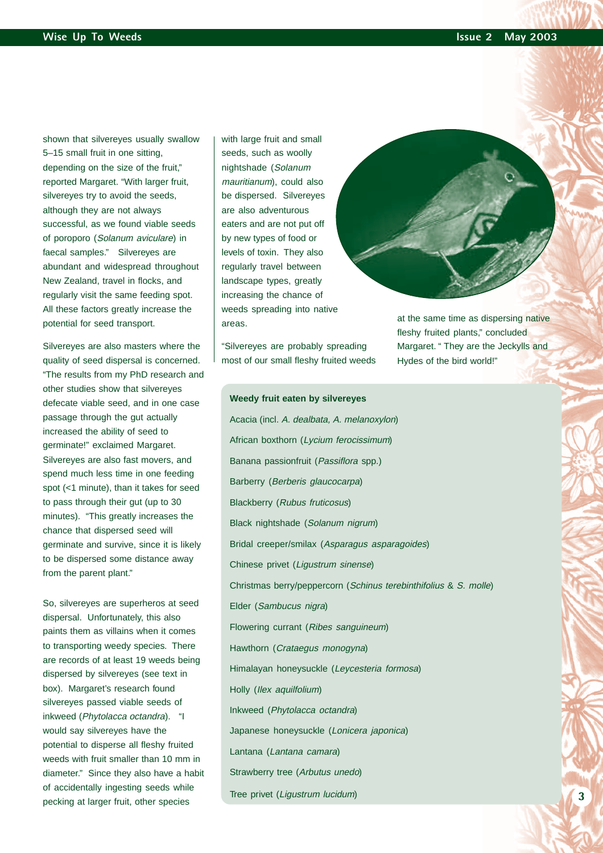shown that silvereyes usually swallow 5–15 small fruit in one sitting, depending on the size of the fruit," reported Margaret. "With larger fruit, silvereyes try to avoid the seeds, although they are not always successful, as we found viable seeds of poroporo (Solanum aviculare) in faecal samples." Silvereyes are abundant and widespread throughout New Zealand, travel in flocks, and regularly visit the same feeding spot. All these factors greatly increase the potential for seed transport.

Silvereyes are also masters where the quality of seed dispersal is concerned. "The results from my PhD research and other studies show that silvereyes defecate viable seed, and in one case passage through the gut actually increased the ability of seed to germinate!" exclaimed Margaret. Silvereyes are also fast movers, and spend much less time in one feeding spot (<1 minute), than it takes for seed to pass through their gut (up to 30 minutes). "This greatly increases the chance that dispersed seed will germinate and survive, since it is likely to be dispersed some distance away from the parent plant."

So, silvereyes are superheros at seed dispersal. Unfortunately, this also paints them as villains when it comes to transporting weedy species. There are records of at least 19 weeds being dispersed by silvereyes (see text in box). Margaret's research found silvereyes passed viable seeds of inkweed (Phytolacca octandra). "I would say silvereyes have the potential to disperse all fleshy fruited weeds with fruit smaller than 10 mm in diameter." Since they also have a habit of accidentally ingesting seeds while pecking at larger fruit, other species

with large fruit and small seeds, such as woolly nightshade (Solanum mauritianum), could also be dispersed. Silvereyes are also adventurous eaters and are not put off by new types of food or levels of toxin. They also regularly travel between landscape types, greatly increasing the chance of weeds spreading into native areas.

"Silvereyes are probably spreading most of our small fleshy fruited weeds

**Weedy fruit eaten by silvereyes**

fleshy fruited plants," concluded Margaret. " They are the Jeckylls and Hydes of the bird world!"

at the same time as dispersing native

Acacia (incl. A. dealbata, A. melanoxylon) African boxthorn (Lycium ferocissimum) Banana passionfruit (Passiflora spp.) Barberry (Berberis glaucocarpa) Blackberry (Rubus fruticosus) Black nightshade (Solanum nigrum) Bridal creeper/smilax (Asparagus asparagoides) Chinese privet (Ligustrum sinense) Christmas berry/peppercorn (Schinus terebinthifolius & S. molle) Elder (Sambucus nigra) Flowering currant (Ribes sanguineum) Hawthorn (Crataegus monogyna) Himalayan honeysuckle (Leycesteria formosa) Holly (Ilex aquilfolium) Inkweed (Phytolacca octandra) Japanese honeysuckle (Lonicera japonica) Lantana (Lantana camara) Strawberry tree (Arbutus unedo) Tree privet (Ligustrum lucidum)